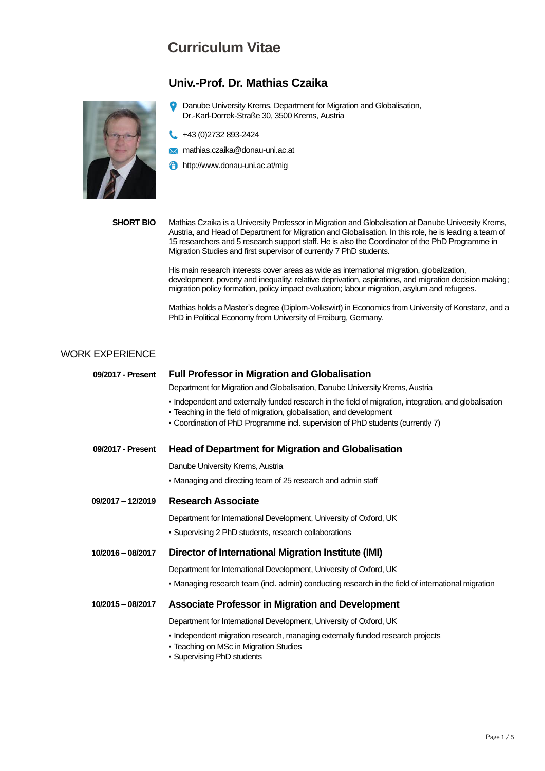### **Univ.-Prof. Dr. Mathias Czaika**



 $\bullet$ Danube University Krems, Department for Migration and Globalisation, Dr.-Karl-Dorrek-Straße 30, 3500 Krems, Austria

+43 (0)2732 893-2424

- **X** mathias.czaika@donau-uni.ac.at
- http://www.donau-uni.ac.at/mig

**SHORT BIO** Mathias Czaika is a University Professor in Migration and Globalisation at Danube University Krems, Austria, and Head of Department for Migration and Globalisation. In this role, he is leading a team of 15 researchers and 5 research support staff. He is also the Coordinator of the PhD Programme in Migration Studies and first supervisor of currently 7 PhD students.

> His main research interests cover areas as wide as international migration, globalization, development, poverty and inequality; relative deprivation, aspirations, and migration decision making; migration policy formation, policy impact evaluation; labour migration, asylum and refugees.

> Mathias holds a Master's degree (Diplom-Volkswirt) in Economics from University of Konstanz, and a PhD in Political Economy from University of Freiburg, Germany.

#### WORK EXPERIENCE

| 09/2017 - Present | <b>Full Professor in Migration and Globalisation</b>                                                                                                                                                                                                              |  |  |
|-------------------|-------------------------------------------------------------------------------------------------------------------------------------------------------------------------------------------------------------------------------------------------------------------|--|--|
|                   | Department for Migration and Globalisation, Danube University Krems, Austria                                                                                                                                                                                      |  |  |
|                   | - Independent and externally funded research in the field of migration, integration, and globalisation<br>- Teaching in the field of migration, globalisation, and development<br>• Coordination of PhD Programme incl. supervision of PhD students (currently 7) |  |  |
| 09/2017 - Present | <b>Head of Department for Migration and Globalisation</b>                                                                                                                                                                                                         |  |  |
|                   | Danube University Krems, Austria                                                                                                                                                                                                                                  |  |  |
|                   | • Managing and directing team of 25 research and admin staff                                                                                                                                                                                                      |  |  |
| 09/2017 - 12/2019 | <b>Research Associate</b>                                                                                                                                                                                                                                         |  |  |
|                   | Department for International Development, University of Oxford, UK                                                                                                                                                                                                |  |  |
|                   | • Supervising 2 PhD students, research collaborations                                                                                                                                                                                                             |  |  |
| 10/2016 - 08/2017 | <b>Director of International Migration Institute (IMI)</b>                                                                                                                                                                                                        |  |  |
|                   | Department for International Development, University of Oxford, UK                                                                                                                                                                                                |  |  |
|                   | • Managing research team (incl. admin) conducting research in the field of international migration                                                                                                                                                                |  |  |
| 10/2015 - 08/2017 | <b>Associate Professor in Migration and Development</b>                                                                                                                                                                                                           |  |  |
|                   | Department for International Development, University of Oxford, UK                                                                                                                                                                                                |  |  |
|                   | - Independent migration research, managing externally funded research projects<br>• Teaching on MSc in Migration Studies<br>• Supervising PhD students                                                                                                            |  |  |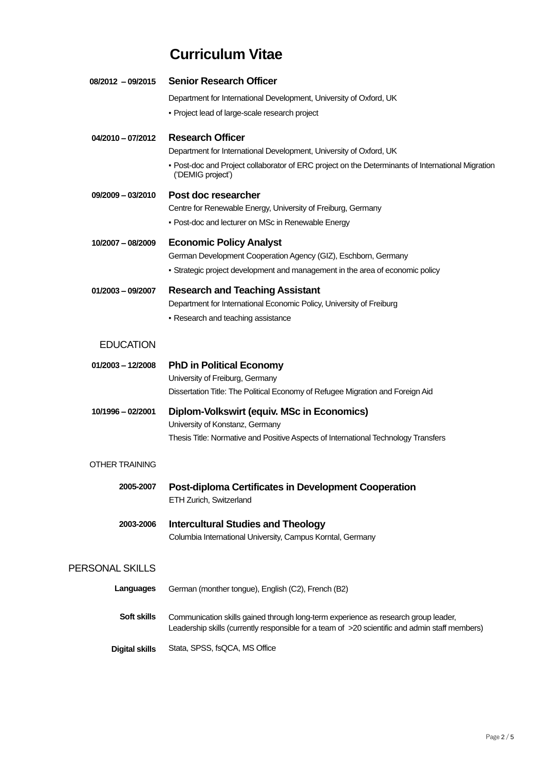| 08/2012 - 09/2015     | <b>Senior Research Officer</b>                                                                                         |
|-----------------------|------------------------------------------------------------------------------------------------------------------------|
|                       | Department for International Development, University of Oxford, UK                                                     |
|                       | • Project lead of large-scale research project                                                                         |
| 04/2010 - 07/2012     | <b>Research Officer</b>                                                                                                |
|                       | Department for International Development, University of Oxford, UK                                                     |
|                       | - Post-doc and Project collaborator of ERC project on the Determinants of International Migration<br>('DEMIG project') |
| $09/2009 - 03/2010$   | Post doc researcher                                                                                                    |
|                       | Centre for Renewable Energy, University of Freiburg, Germany                                                           |
|                       | - Post-doc and lecturer on MSc in Renewable Energy                                                                     |
| 10/2007 - 08/2009     | <b>Economic Policy Analyst</b>                                                                                         |
|                       | German Development Cooperation Agency (GIZ), Eschborn, Germany                                                         |
|                       | - Strategic project development and management in the area of economic policy                                          |
| $01/2003 - 09/2007$   | <b>Research and Teaching Assistant</b>                                                                                 |
|                       | Department for International Economic Policy, University of Freiburg                                                   |
|                       | - Research and teaching assistance                                                                                     |
| <b>EDUCATION</b>      |                                                                                                                        |
| $01/2003 - 12/2008$   | <b>PhD in Political Economy</b>                                                                                        |
|                       | University of Freiburg, Germany                                                                                        |
|                       | Dissertation Title: The Political Economy of Refugee Migration and Foreign Aid                                         |
| 10/1996 - 02/2001     | <b>Diplom-Volkswirt (equiv. MSc in Economics)</b>                                                                      |
|                       | University of Konstanz, Germany                                                                                        |
|                       | Thesis Title: Normative and Positive Aspects of International Technology Transfers                                     |
| OTHER TRAINING        |                                                                                                                        |
| 2005-2007             | <b>Post-diploma Certificates in Development Cooperation</b>                                                            |
|                       | ETH Zurich, Switzerland                                                                                                |
| 2003-2006             | <b>Intercultural Studies and Theology</b>                                                                              |
|                       | Columbia International University, Campus Korntal, Germany                                                             |
|                       |                                                                                                                        |
| PERSONAL SKILLS       |                                                                                                                        |
| Languages             | German (monther tongue), English (C2), French (B2)                                                                     |
| Soft skills           | Communication skills gained through long-term experience as research group leader,                                     |
|                       | Leadership skills (currently responsible for a team of >20 scientific and admin staff members)                         |
| <b>Digital skills</b> | Stata, SPSS, fsQCA, MS Office                                                                                          |
|                       |                                                                                                                        |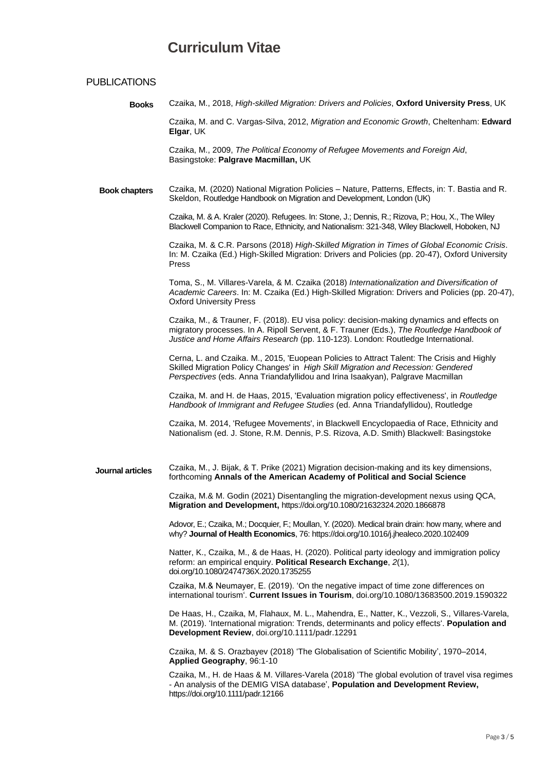#### PUBLICATIONS

 **Books** Czaika, M., 2018, *High-skilled Migration: Drivers and Policies*, **Oxford University Press**, UK

Czaika, M. and C. Vargas-Silva, 2012, *Migration and Economic Growth*, Cheltenham: **Edward Elgar**, UK

Czaika, M., 2009, *The Political Economy of Refugee Movements and Foreign Aid*, Basingstoke: **Palgrave Macmillan,** UK

 **Book chapters** Czaika, M. (2020) National Migration Policies – Nature, Patterns, Effects, in: T. Bastia and R. Skeldon, Routledge Handbook on Migration and Development, London (UK)

> Czaika, M. &A. Kraler (2020). Refugees. In: Stone, J.; Dennis, R.; Rizova, P.; Hou, X., The Wiley Blackwell Companion to Race, Ethnicity, and Nationalism: 321-348, Wiley Blackwell, Hoboken, NJ

Czaika, M. & C.R. Parsons (2018) *High-Skilled Migration in Times of Global Economic Crisis*. In: M. Czaika (Ed.) High-Skilled Migration: Drivers and Policies (pp. 20-47), Oxford University Press

Toma, S., M. Villares-Varela, & M. Czaika (2018) *Internationalization and Diversification of Academic Careers*. In: M. Czaika (Ed.) High-Skilled Migration: Drivers and Policies (pp. 20-47), Oxford University Press

Czaika, M., & Trauner, F. (2018). EU visa policy: decision-making dynamics and effects on migratory processes. In A. Ripoll Servent, & F. Trauner (Eds.), *The Routledge Handbook of Justice and Home Affairs Research* (pp. 110-123). London: Routledge International.

Cerna, L. and Czaika. M., 2015, 'Euopean Policies to Attract Talent: The Crisis and Highly Skilled Migration Policy Changes' in *High Skill Migration and Recession: Gendered Perspectives* (eds. Anna Triandafyllidou and Irina Isaakyan), Palgrave Macmillan

Czaika, M. and H. de Haas, 2015, 'Evaluation migration policy effectiveness', in *Routledge Handbook of Immigrant and Refugee Studies* (ed. Anna Triandafyllidou), Routledge

Czaika, M. 2014, 'Refugee Movements', in Blackwell Encyclopaedia of Race, Ethnicity and Nationalism (ed. J. Stone, R.M. Dennis, P.S. Rizova, A.D. Smith) Blackwell: Basingstoke

 **Journal articles** Czaika, M., J. Bijak, & T. Prike (2021) Migration decision-making and its key dimensions, forthcoming **Annals of the American Academy of Political and Social Science**

> Czaika, M.& M. Godin (2021) Disentangling the migration-development nexus using QCA, **Migration and Development,** https://doi.org/10.1080/21632324.2020.1866878

Adovor, E.; Czaika, M.; Docquier, F.; Moullan, Y. (2020). Medical brain drain: how many, where and why? **Journal of Health Economics**, 76: https://doi.org/10.1016/j.jhealeco.2020.102409

Natter, K., Czaika, M., & de Haas, H. (2020). Political party ideology and immigration policy reform: an empirical enquiry. **Political Research Exchange**, *2*(1), doi.org/10.1080/2474736X.2020.1735255

Czaika, M.& Neumayer, E. (2019). 'On the negative impact of time zone differences on international tourism'. **Current Issues in Tourism**, doi.org/10.1080/13683500.2019.1590322

De Haas, H., Czaika, M, Flahaux, M. L., Mahendra, E., Natter, K., Vezzoli, S., Villares-Varela, M. (2019). 'International migration: Trends, determinants and policy effects'. **Population and Development Review**, doi.org/10.1111/padr.12291

Czaika, M. & S. Orazbayev (2018) 'The Globalisation of Scientific Mobility', 1970–2014, **Applied Geography**, 96:1-10

Czaika, M., H. de Haas & M. Villares-Varela (2018) 'The global evolution of travel visa regimes - An analysis of the DEMIG VISA database', **Population and Development Review,**  https://doi.org/10.1111/padr.12166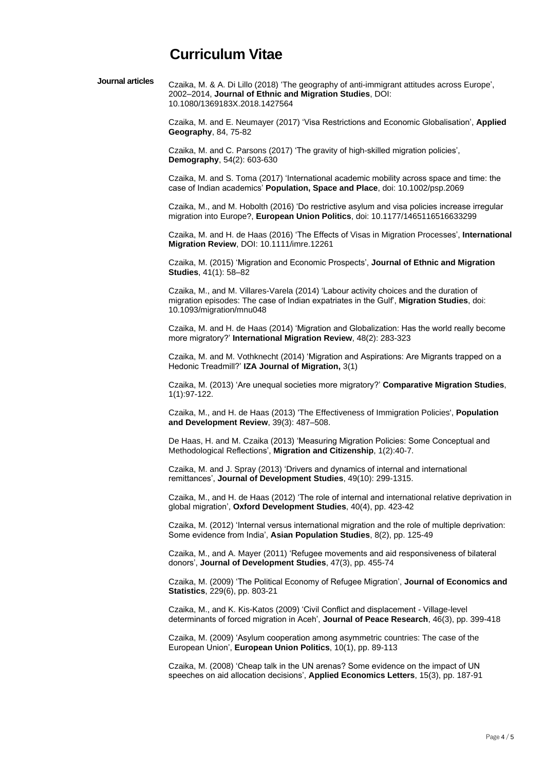| Journal articles | Czaika, M. & A. Di Lillo (2018) 'The geography of anti-immigrant attitudes across Europe', |
|------------------|--------------------------------------------------------------------------------------------|
|                  | 2002–2014, Journal of Ethnic and Migration Studies, DOI:                                   |
|                  | 10.1080/1369183X.2018.1427564                                                              |

Czaika, M. and E. Neumayer (2017) 'Visa Restrictions and Economic Globalisation', **Applied Geography**, 84, 75-82

Czaika, M. and C. Parsons (2017) 'The gravity of high-skilled migration policies', **Demography**, 54(2): 603-630

Czaika, M. and S. Toma (2017) 'International academic mobility across space and time: the case of Indian academics' **Population, Space and Place**, doi: 10.1002/psp.2069

Czaika, M., and M. Hobolth (2016) 'Do restrictive asylum and visa policies increase irregular migration into Europe?, **European Union Politics**, doi: 10.1177/1465116516633299

Czaika, M. and H. de Haas (2016) 'The Effects of Visas in Migration Processes', **International Migration Review**, DOI: 10.1111/imre.12261

Czaika, M. (2015) 'Migration and Economic Prospects', **Journal of Ethnic and Migration Studies**, 41(1): 58–82

Czaika, M., and M. Villares-Varela (2014) 'Labour activity choices and the duration of migration episodes: The case of Indian expatriates in the Gulf', **Migration Studies**, doi: 10.1093/migration/mnu048

Czaika, M. and H. de Haas (2014) 'Migration and Globalization: Has the world really become more migratory?' **International Migration Review**, 48(2): 283-323

Czaika, M. and M. Vothknecht (2014) 'Migration and Aspirations: Are Migrants trapped on a Hedonic Treadmill?' **IZA Journal of Migration,** 3(1)

Czaika, M. (2013) 'Are unequal societies more migratory?' **Comparative Migration Studies**, 1(1):97-122.

Czaika, M., and H. de Haas (2013) 'The Effectiveness of Immigration Policies', **Population and Development Review**, 39(3): 487–508.

De Haas, H. and M. Czaika (2013) 'Measuring Migration Policies: Some Conceptual and Methodological Reflections', **Migration and Citizenship**, 1(2):40-7.

Czaika, M. and J. Spray (2013) 'Drivers and dynamics of internal and international remittances', **Journal of Development Studies**, 49(10): 299-1315.

Czaika, M., and H. de Haas (2012) 'The role of internal and international relative deprivation in global migration', **Oxford Development Studies**, 40(4), pp. 423-42

Czaika, M. (2012) 'Internal versus international migration and the role of multiple deprivation: Some evidence from India', **Asian Population Studies**, 8(2), pp. 125-49

Czaika, M., and A. Mayer (2011) 'Refugee movements and aid responsiveness of bilateral donors', **Journal of Development Studies**, 47(3), pp. 455-74

Czaika, M. (2009) 'The Political Economy of Refugee Migration', **Journal of Economics and Statistics**, 229(6), pp. 803-21

Czaika, M., and K. Kis-Katos (2009) 'Civil Conflict and displacement - Village-level determinants of forced migration in Aceh', **Journal of Peace Research**, 46(3), pp. 399-418

Czaika, M. (2009) 'Asylum cooperation among asymmetric countries: The case of the European Union', **European Union Politics**, 10(1), pp. 89-113

Czaika, M. (2008) 'Cheap talk in the UN arenas? Some evidence on the impact of UN speeches on aid allocation decisions', **Applied Economics Letters**, 15(3), pp. 187-91